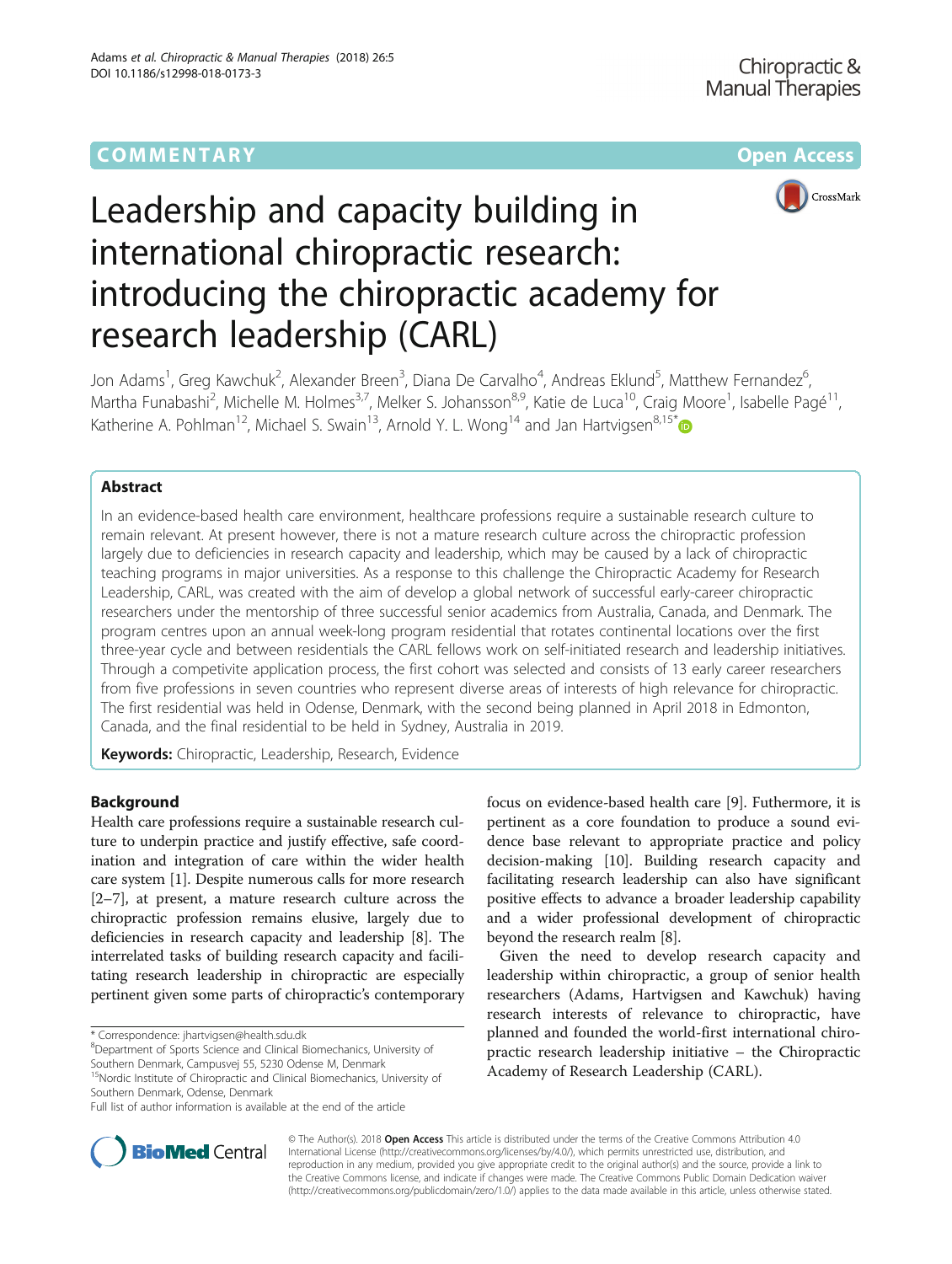## **COMMENTARY COMMENTARY COMMENTARY**



# Leadership and capacity building in international chiropractic research: introducing the chiropractic academy for research leadership (CARL)

Jon Adams<sup>1</sup>, Greg Kawchuk<sup>2</sup>, Alexander Breen<sup>3</sup>, Diana De Carvalho<sup>4</sup>, Andreas Eklund<sup>5</sup>, Matthew Fernandez<sup>6</sup> , Martha Funabashi<sup>2</sup>, Michelle M. Holmes<sup>3,7</sup>, Melker S. Johansson<sup>8,9</sup>, Katie de Luca<sup>10</sup>, Craig Moore<sup>1</sup>, Isabelle Pagé<sup>11</sup>, Katherine A. Pohlman<sup>12</sup>, Michael S. Swain<sup>13</sup>, Arnold Y. L. Wong<sup>14</sup> and Jan Hartvigsen<sup>8,15[\\*](http://orcid.org/0000-0002-5876-7410)</sup>

## Abstract

In an evidence-based health care environment, healthcare professions require a sustainable research culture to remain relevant. At present however, there is not a mature research culture across the chiropractic profession largely due to deficiencies in research capacity and leadership, which may be caused by a lack of chiropractic teaching programs in major universities. As a response to this challenge the Chiropractic Academy for Research Leadership, CARL, was created with the aim of develop a global network of successful early-career chiropractic researchers under the mentorship of three successful senior academics from Australia, Canada, and Denmark. The program centres upon an annual week-long program residential that rotates continental locations over the first three-year cycle and between residentials the CARL fellows work on self-initiated research and leadership initiatives. Through a competivite application process, the first cohort was selected and consists of 13 early career researchers from five professions in seven countries who represent diverse areas of interests of high relevance for chiropractic. The first residential was held in Odense, Denmark, with the second being planned in April 2018 in Edmonton, Canada, and the final residential to be held in Sydney, Australia in 2019.

Keywords: Chiropractic, Leadership, Research, Evidence

## Background

Health care professions require a sustainable research culture to underpin practice and justify effective, safe coordination and integration of care within the wider health care system [\[1](#page-5-0)]. Despite numerous calls for more research [[2](#page-5-0)–[7](#page-5-0)], at present, a mature research culture across the chiropractic profession remains elusive, largely due to deficiencies in research capacity and leadership [\[8](#page-5-0)]. The interrelated tasks of building research capacity and facilitating research leadership in chiropractic are especially pertinent given some parts of chiropractic's contemporary

<sup>8</sup>Department of Sports Science and Clinical Biomechanics, University of Southern Denmark, Campusvej 55, 5230 Odense M, Denmark

<sup>15</sup>Nordic Institute of Chiropractic and Clinical Biomechanics, University of Southern Denmark, Odense, Denmark

focus on evidence-based health care [\[9](#page-5-0)]. Futhermore, it is pertinent as a core foundation to produce a sound evidence base relevant to appropriate practice and policy decision-making [\[10\]](#page-5-0). Building research capacity and facilitating research leadership can also have significant positive effects to advance a broader leadership capability and a wider professional development of chiropractic beyond the research realm [\[8](#page-5-0)].

Given the need to develop research capacity and leadership within chiropractic, a group of senior health researchers (Adams, Hartvigsen and Kawchuk) having research interests of relevance to chiropractic, have planned and founded the world-first international chiropractic research leadership initiative – the Chiropractic Academy of Research Leadership (CARL).



© The Author(s). 2018 Open Access This article is distributed under the terms of the Creative Commons Attribution 4.0 International License [\(http://creativecommons.org/licenses/by/4.0/](http://creativecommons.org/licenses/by/4.0/)), which permits unrestricted use, distribution, and reproduction in any medium, provided you give appropriate credit to the original author(s) and the source, provide a link to the Creative Commons license, and indicate if changes were made. The Creative Commons Public Domain Dedication waiver [\(http://creativecommons.org/publicdomain/zero/1.0/](http://creativecommons.org/publicdomain/zero/1.0/)) applies to the data made available in this article, unless otherwise stated.

<sup>\*</sup> Correspondence: [jhartvigsen@health.sdu.dk](mailto:jhartvigsen@health.sdu.dk) <sup>8</sup>

Full list of author information is available at the end of the article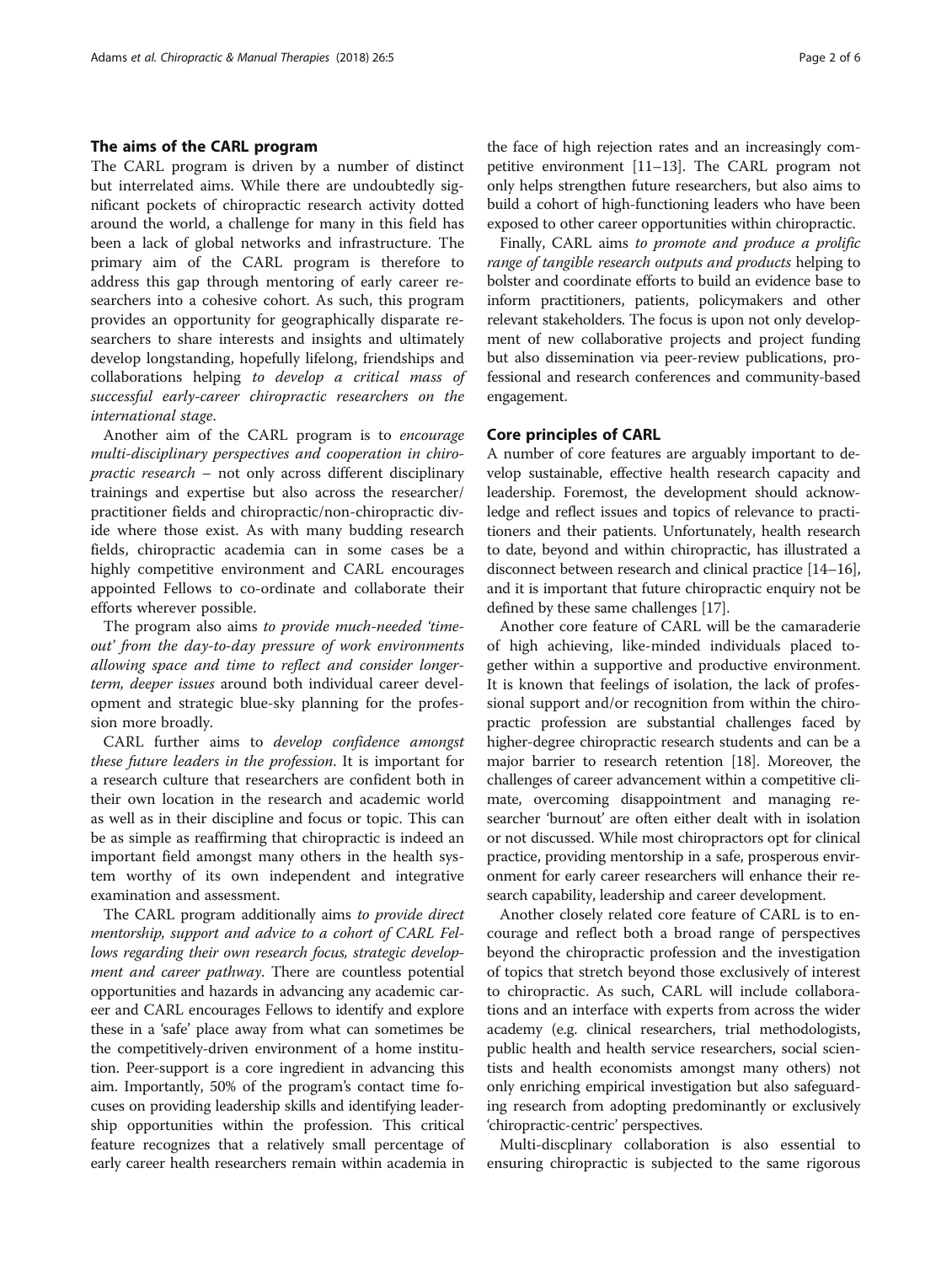### The aims of the CARL program

The CARL program is driven by a number of distinct but interrelated aims. While there are undoubtedly significant pockets of chiropractic research activity dotted around the world, a challenge for many in this field has been a lack of global networks and infrastructure. The primary aim of the CARL program is therefore to address this gap through mentoring of early career researchers into a cohesive cohort. As such, this program provides an opportunity for geographically disparate researchers to share interests and insights and ultimately develop longstanding, hopefully lifelong, friendships and collaborations helping to develop a critical mass of successful early-career chiropractic researchers on the international stage.

Another aim of the CARL program is to encourage multi-disciplinary perspectives and cooperation in chiropractic research – not only across different disciplinary trainings and expertise but also across the researcher/ practitioner fields and chiropractic/non-chiropractic divide where those exist. As with many budding research fields, chiropractic academia can in some cases be a highly competitive environment and CARL encourages appointed Fellows to co-ordinate and collaborate their efforts wherever possible.

The program also aims to provide much-needed 'timeout' from the day-to-day pressure of work environments allowing space and time to reflect and consider longerterm, deeper issues around both individual career development and strategic blue-sky planning for the profession more broadly.

CARL further aims to develop confidence amongst these future leaders in the profession. It is important for a research culture that researchers are confident both in their own location in the research and academic world as well as in their discipline and focus or topic. This can be as simple as reaffirming that chiropractic is indeed an important field amongst many others in the health system worthy of its own independent and integrative examination and assessment.

The CARL program additionally aims to provide direct mentorship, support and advice to a cohort of CARL Fellows regarding their own research focus, strategic development and career pathway. There are countless potential opportunities and hazards in advancing any academic career and CARL encourages Fellows to identify and explore these in a 'safe' place away from what can sometimes be the competitively-driven environment of a home institution. Peer-support is a core ingredient in advancing this aim. Importantly, 50% of the program's contact time focuses on providing leadership skills and identifying leadership opportunities within the profession. This critical feature recognizes that a relatively small percentage of early career health researchers remain within academia in the face of high rejection rates and an increasingly competitive environment [[11](#page-5-0)–[13\]](#page-5-0). The CARL program not only helps strengthen future researchers, but also aims to build a cohort of high-functioning leaders who have been exposed to other career opportunities within chiropractic.

Finally, CARL aims to promote and produce a prolific range of tangible research outputs and products helping to bolster and coordinate efforts to build an evidence base to inform practitioners, patients, policymakers and other relevant stakeholders. The focus is upon not only development of new collaborative projects and project funding but also dissemination via peer-review publications, professional and research conferences and community-based engagement.

#### Core principles of CARL

A number of core features are arguably important to develop sustainable, effective health research capacity and leadership. Foremost, the development should acknowledge and reflect issues and topics of relevance to practitioners and their patients. Unfortunately, health research to date, beyond and within chiropractic, has illustrated a disconnect between research and clinical practice [\[14](#page-5-0)–[16](#page-5-0)], and it is important that future chiropractic enquiry not be defined by these same challenges [\[17\]](#page-5-0).

Another core feature of CARL will be the camaraderie of high achieving, like-minded individuals placed together within a supportive and productive environment. It is known that feelings of isolation, the lack of professional support and/or recognition from within the chiropractic profession are substantial challenges faced by higher-degree chiropractic research students and can be a major barrier to research retention [[18](#page-5-0)]. Moreover, the challenges of career advancement within a competitive climate, overcoming disappointment and managing researcher 'burnout' are often either dealt with in isolation or not discussed. While most chiropractors opt for clinical practice, providing mentorship in a safe, prosperous environment for early career researchers will enhance their research capability, leadership and career development.

Another closely related core feature of CARL is to encourage and reflect both a broad range of perspectives beyond the chiropractic profession and the investigation of topics that stretch beyond those exclusively of interest to chiropractic. As such, CARL will include collaborations and an interface with experts from across the wider academy (e.g. clinical researchers, trial methodologists, public health and health service researchers, social scientists and health economists amongst many others) not only enriching empirical investigation but also safeguarding research from adopting predominantly or exclusively 'chiropractic-centric' perspectives.

Multi-discplinary collaboration is also essential to ensuring chiropractic is subjected to the same rigorous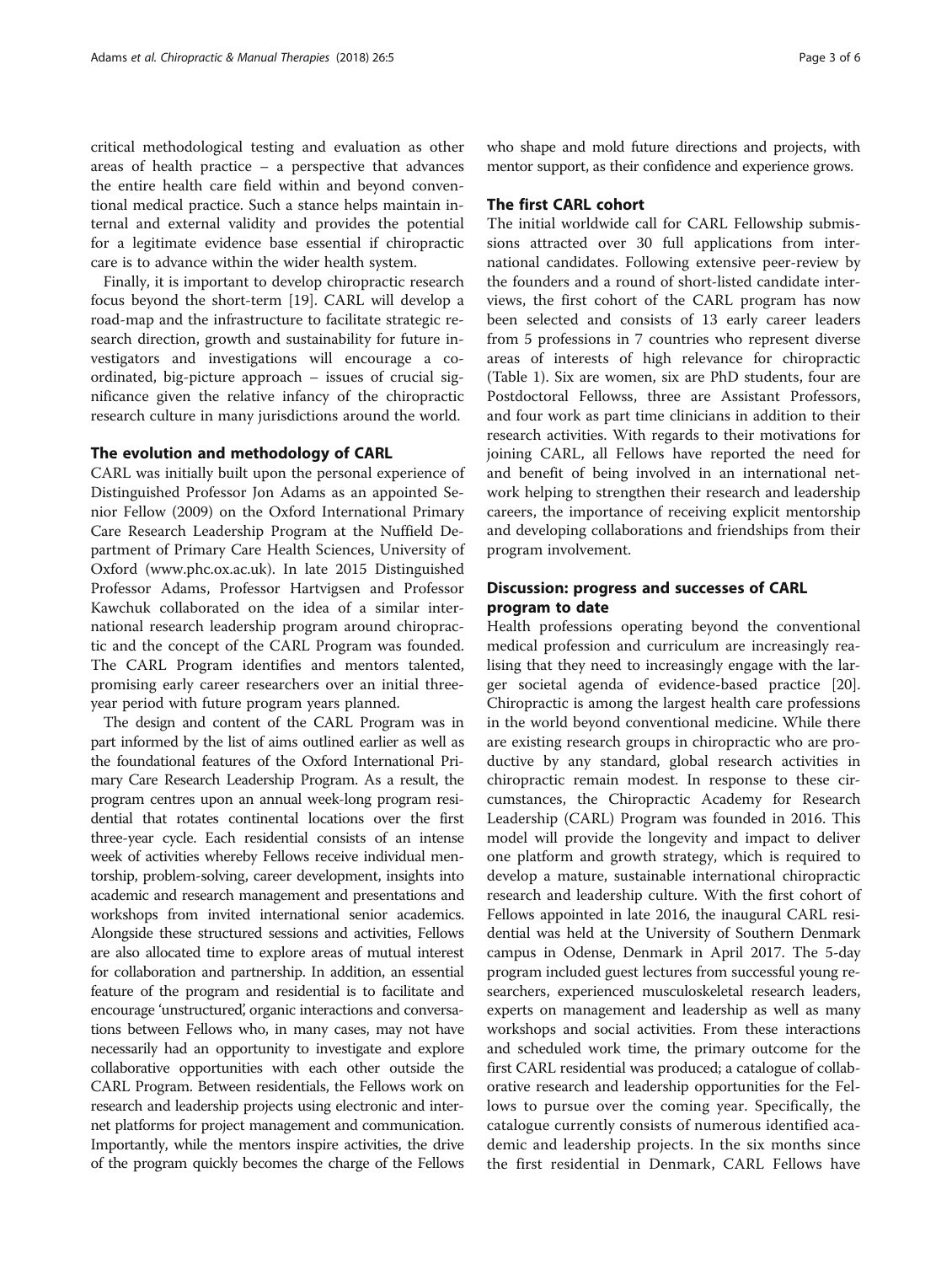critical methodological testing and evaluation as other areas of health practice – a perspective that advances the entire health care field within and beyond conventional medical practice. Such a stance helps maintain internal and external validity and provides the potential for a legitimate evidence base essential if chiropractic care is to advance within the wider health system.

Finally, it is important to develop chiropractic research focus beyond the short-term [[19](#page-5-0)]. CARL will develop a road-map and the infrastructure to facilitate strategic research direction, growth and sustainability for future investigators and investigations will encourage a coordinated, big-picture approach – issues of crucial significance given the relative infancy of the chiropractic research culture in many jurisdictions around the world.

#### The evolution and methodology of CARL

CARL was initially built upon the personal experience of Distinguished Professor Jon Adams as an appointed Senior Fellow (2009) on the Oxford International Primary Care Research Leadership Program at the Nuffield Department of Primary Care Health Sciences, University of Oxford [\(www.phc.ox.ac.uk](http://www.phc.ox.ac.uk)). In late 2015 Distinguished Professor Adams, Professor Hartvigsen and Professor Kawchuk collaborated on the idea of a similar international research leadership program around chiropractic and the concept of the CARL Program was founded. The CARL Program identifies and mentors talented, promising early career researchers over an initial threeyear period with future program years planned.

The design and content of the CARL Program was in part informed by the list of aims outlined earlier as well as the foundational features of the Oxford International Primary Care Research Leadership Program. As a result, the program centres upon an annual week-long program residential that rotates continental locations over the first three-year cycle. Each residential consists of an intense week of activities whereby Fellows receive individual mentorship, problem-solving, career development, insights into academic and research management and presentations and workshops from invited international senior academics. Alongside these structured sessions and activities, Fellows are also allocated time to explore areas of mutual interest for collaboration and partnership. In addition, an essential feature of the program and residential is to facilitate and encourage 'unstructured', organic interactions and conversations between Fellows who, in many cases, may not have necessarily had an opportunity to investigate and explore collaborative opportunities with each other outside the CARL Program. Between residentials, the Fellows work on research and leadership projects using electronic and internet platforms for project management and communication. Importantly, while the mentors inspire activities, the drive of the program quickly becomes the charge of the Fellows who shape and mold future directions and projects, with mentor support, as their confidence and experience grows.

#### The first CARL cohort

The initial worldwide call for CARL Fellowship submissions attracted over 30 full applications from international candidates. Following extensive peer-review by the founders and a round of short-listed candidate interviews, the first cohort of the CARL program has now been selected and consists of 13 early career leaders from 5 professions in 7 countries who represent diverse areas of interests of high relevance for chiropractic (Table [1](#page-3-0)). Six are women, six are PhD students, four are Postdoctoral Fellowss, three are Assistant Professors, and four work as part time clinicians in addition to their research activities. With regards to their motivations for joining CARL, all Fellows have reported the need for and benefit of being involved in an international network helping to strengthen their research and leadership careers, the importance of receiving explicit mentorship and developing collaborations and friendships from their program involvement.

## Discussion: progress and successes of CARL program to date

Health professions operating beyond the conventional medical profession and curriculum are increasingly realising that they need to increasingly engage with the larger societal agenda of evidence-based practice [\[20](#page-5-0)]. Chiropractic is among the largest health care professions in the world beyond conventional medicine. While there are existing research groups in chiropractic who are productive by any standard, global research activities in chiropractic remain modest. In response to these circumstances, the Chiropractic Academy for Research Leadership (CARL) Program was founded in 2016. This model will provide the longevity and impact to deliver one platform and growth strategy, which is required to develop a mature, sustainable international chiropractic research and leadership culture. With the first cohort of Fellows appointed in late 2016, the inaugural CARL residential was held at the University of Southern Denmark campus in Odense, Denmark in April 2017. The 5-day program included guest lectures from successful young researchers, experienced musculoskeletal research leaders, experts on management and leadership as well as many workshops and social activities. From these interactions and scheduled work time, the primary outcome for the first CARL residential was produced; a catalogue of collaborative research and leadership opportunities for the Fellows to pursue over the coming year. Specifically, the catalogue currently consists of numerous identified academic and leadership projects. In the six months since the first residential in Denmark, CARL Fellows have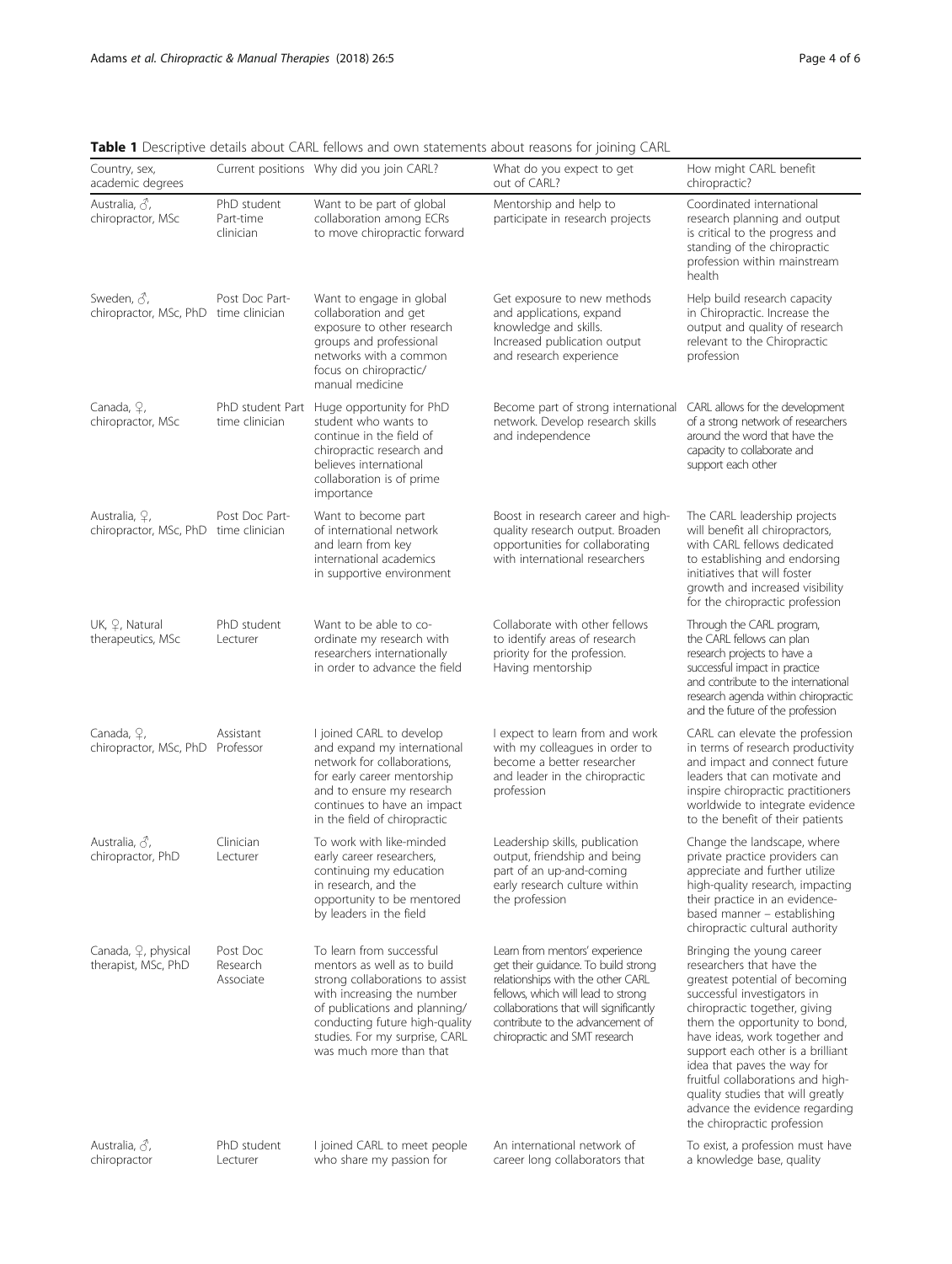| Country, sex,<br>academic degrees                           |                                       | Current positions  Why did you join CARL?                                                                                                                                                                                                                | What do you expect to get<br>out of CARL?                                                                                                                                                                                                                       | How might CARL benefit<br>chiropractic?                                                                                                                                                                                                                                                                                                                                                                                                   |
|-------------------------------------------------------------|---------------------------------------|----------------------------------------------------------------------------------------------------------------------------------------------------------------------------------------------------------------------------------------------------------|-----------------------------------------------------------------------------------------------------------------------------------------------------------------------------------------------------------------------------------------------------------------|-------------------------------------------------------------------------------------------------------------------------------------------------------------------------------------------------------------------------------------------------------------------------------------------------------------------------------------------------------------------------------------------------------------------------------------------|
| Australia, $\beta$ ,<br>chiropractor, MSc                   | PhD student<br>Part-time<br>clinician | Want to be part of global<br>collaboration among ECRs<br>to move chiropractic forward                                                                                                                                                                    | Mentorship and help to<br>participate in research projects                                                                                                                                                                                                      | Coordinated international<br>research planning and output<br>is critical to the progress and<br>standing of the chiropractic<br>profession within mainstream<br>health                                                                                                                                                                                                                                                                    |
| Sweden, $\delta$ ,<br>chiropractor, MSc, PhD time clinician | Post Doc Part-                        | Want to engage in global<br>collaboration and get<br>exposure to other research<br>groups and professional<br>networks with a common<br>focus on chiropractic/<br>manual medicine                                                                        | Get exposure to new methods<br>and applications, expand<br>knowledge and skills.<br>Increased publication output<br>and research experience                                                                                                                     | Help build research capacity<br>in Chiropractic. Increase the<br>output and quality of research<br>relevant to the Chiropractic<br>profession                                                                                                                                                                                                                                                                                             |
| Canada, $\varphi$ ,<br>chiropractor, MSc                    | PhD student Part<br>time clinician    | Huge opportunity for PhD<br>student who wants to<br>continue in the field of<br>chiropractic research and<br>believes international<br>collaboration is of prime<br>importance                                                                           | Become part of strong international<br>network. Develop research skills<br>and independence                                                                                                                                                                     | CARL allows for the development<br>of a strong network of researchers<br>around the word that have the<br>capacity to collaborate and<br>support each other                                                                                                                                                                                                                                                                               |
| Australia, ♀,<br>chiropractor, MSc, PhD time clinician      | Post Doc Part-                        | Want to become part<br>of international network<br>and learn from key<br>international academics<br>in supportive environment                                                                                                                            | Boost in research career and high-<br>quality research output. Broaden<br>opportunities for collaborating<br>with international researchers                                                                                                                     | The CARL leadership projects<br>will benefit all chiropractors,<br>with CARL fellows dedicated<br>to establishing and endorsing<br>initiatives that will foster<br>growth and increased visibility<br>for the chiropractic profession                                                                                                                                                                                                     |
| UK, ♀, Natural<br>therapeutics, MSc                         | PhD student<br>Lecturer               | Want to be able to co-<br>ordinate my research with<br>researchers internationally<br>in order to advance the field                                                                                                                                      | Collaborate with other fellows<br>to identify areas of research<br>priority for the profession.<br>Having mentorship                                                                                                                                            | Through the CARL program,<br>the CARL fellows can plan<br>research projects to have a<br>successful impact in practice<br>and contribute to the international<br>research agenda within chiropractic<br>and the future of the profession                                                                                                                                                                                                  |
| Canada, Q,<br>chiropractor, MSc, PhD Professor              | Assistant                             | I joined CARL to develop<br>and expand my international<br>network for collaborations,<br>for early career mentorship<br>and to ensure my research<br>continues to have an impact<br>in the field of chiropractic                                        | I expect to learn from and work<br>with my colleagues in order to<br>become a better researcher<br>and leader in the chiropractic<br>profession                                                                                                                 | CARL can elevate the profession<br>in terms of research productivity<br>and impact and connect future<br>leaders that can motivate and<br>inspire chiropractic practitioners<br>worldwide to integrate evidence<br>to the benefit of their patients                                                                                                                                                                                       |
| Australia, ♂,<br>chiropractor, PhD                          | Clinician<br>Lecturer                 | To work with like-minded<br>early career researchers,<br>continuing my education<br>in research, and the<br>opportunity to be mentored<br>by leaders in the field                                                                                        | Leadership skills, publication<br>output, friendship and being<br>part of an up-and-coming<br>early research culture within<br>the profession                                                                                                                   | Change the landscape, where<br>private practice providers can<br>appreciate and further utilize<br>high-quality research, impacting<br>their practice in an evidence-<br>based manner - establishing<br>chiropractic cultural authority                                                                                                                                                                                                   |
| Canada, $\varphi$ , physical<br>therapist, MSc, PhD         | Post Doc<br>Research<br>Associate     | To learn from successful<br>mentors as well as to build<br>strong collaborations to assist<br>with increasing the number<br>of publications and planning/<br>conducting future high-quality<br>studies. For my surprise, CARL<br>was much more than that | Learn from mentors' experience<br>get their guidance. To build strong<br>relationships with the other CARL<br>fellows, which will lead to strong<br>collaborations that will significantly<br>contribute to the advancement of<br>chiropractic and SMT research | Bringing the young career<br>researchers that have the<br>greatest potential of becoming<br>successful investigators in<br>chiropractic together, giving<br>them the opportunity to bond,<br>have ideas, work together and<br>support each other is a brilliant<br>idea that paves the way for<br>fruitful collaborations and high-<br>quality studies that will greatly<br>advance the evidence regarding<br>the chiropractic profession |
| Australia, $\beta$ ,<br>chiropractor                        | PhD student<br>Lecturer               | I joined CARL to meet people<br>who share my passion for                                                                                                                                                                                                 | An international network of<br>career long collaborators that                                                                                                                                                                                                   | To exist, a profession must have<br>a knowledge base, quality                                                                                                                                                                                                                                                                                                                                                                             |

<span id="page-3-0"></span>Table 1 Descriptive details about CARL fellows and own statements about reasons for joining CARL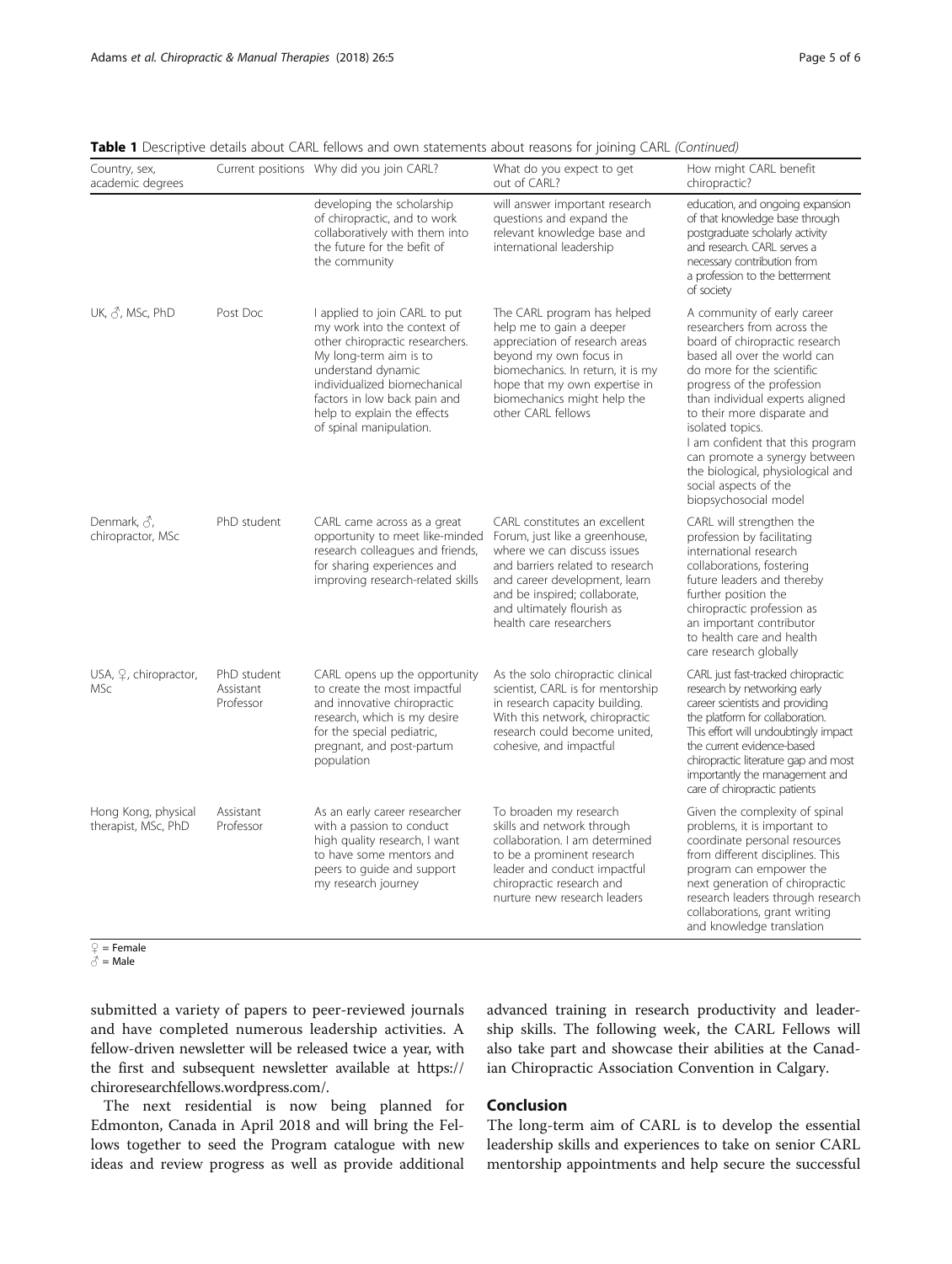| Country, sex,<br>academic degrees                |                                       | Current positions Why did you join CARL?                                                                                                                                                                                                                                  | What do you expect to get<br>out of CARL?                                                                                                                                                                                                                     | How might CARL benefit<br>chiropractic?                                                                                                                                                                                                                                                                                                                                                                                                    |
|--------------------------------------------------|---------------------------------------|---------------------------------------------------------------------------------------------------------------------------------------------------------------------------------------------------------------------------------------------------------------------------|---------------------------------------------------------------------------------------------------------------------------------------------------------------------------------------------------------------------------------------------------------------|--------------------------------------------------------------------------------------------------------------------------------------------------------------------------------------------------------------------------------------------------------------------------------------------------------------------------------------------------------------------------------------------------------------------------------------------|
|                                                  |                                       | developing the scholarship<br>of chiropractic, and to work<br>collaboratively with them into<br>the future for the befit of<br>the community                                                                                                                              | will answer important research<br>questions and expand the<br>relevant knowledge base and<br>international leadership                                                                                                                                         | education, and ongoing expansion<br>of that knowledge base through<br>postgraduate scholarly activity<br>and research. CARL serves a<br>necessary contribution from<br>a profession to the betterment<br>of society                                                                                                                                                                                                                        |
| UK, $\beta$ , MSc, PhD                           | Post Doc                              | I applied to join CARL to put<br>my work into the context of<br>other chiropractic researchers.<br>My long-term aim is to<br>understand dynamic<br>individualized biomechanical<br>factors in low back pain and<br>help to explain the effects<br>of spinal manipulation. | The CARL program has helped<br>help me to gain a deeper<br>appreciation of research areas<br>beyond my own focus in<br>biomechanics. In return, it is my<br>hope that my own expertise in<br>biomechanics might help the<br>other CARL fellows                | A community of early career<br>researchers from across the<br>board of chiropractic research<br>based all over the world can<br>do more for the scientific<br>progress of the profession<br>than individual experts aligned<br>to their more disparate and<br>isolated topics.<br>I am confident that this program<br>can promote a synergy between<br>the biological, physiological and<br>social aspects of the<br>biopsychosocial model |
| Denmark, $\beta$ ,<br>chiropractor, MSc          | PhD student                           | CARL came across as a great<br>opportunity to meet like-minded<br>research colleagues and friends,<br>for sharing experiences and<br>improving research-related skills                                                                                                    | CARL constitutes an excellent<br>Forum, just like a greenhouse,<br>where we can discuss issues<br>and barriers related to research<br>and career development, learn<br>and be inspired; collaborate,<br>and ultimately flourish as<br>health care researchers | CARL will strengthen the<br>profession by facilitating<br>international research<br>collaborations, fostering<br>future leaders and thereby<br>further position the<br>chiropractic profession as<br>an important contributor<br>to health care and health<br>care research globally                                                                                                                                                       |
| USA, $\mathcal{Q}$ , chiropractor,<br><b>MSc</b> | PhD student<br>Assistant<br>Professor | CARL opens up the opportunity<br>to create the most impactful<br>and innovative chiropractic<br>research, which is my desire<br>for the special pediatric,<br>pregnant, and post-partum<br>population                                                                     | As the solo chiropractic clinical<br>scientist, CARL is for mentorship<br>in research capacity building.<br>With this network, chiropractic<br>research could become united,<br>cohesive, and impactful                                                       | CARL just fast-tracked chiropractic<br>research by networking early<br>career scientists and providing<br>the platform for collaboration.<br>This effort will undoubtingly impact<br>the current evidence-based<br>chiropractic literature gap and most<br>importantly the management and<br>care of chiropractic patients                                                                                                                 |
| Hong Kong, physical<br>therapist, MSc, PhD       | Assistant<br>Professor                | As an early career researcher<br>with a passion to conduct<br>high quality research, I want<br>to have some mentors and<br>peers to guide and support<br>my research journey                                                                                              | To broaden my research<br>skills and network through<br>collaboration. I am determined<br>to be a prominent research<br>leader and conduct impactful<br>chiropractic research and<br>nurture new research leaders                                             | Given the complexity of spinal<br>problems, it is important to<br>coordinate personal resources<br>from different disciplines. This<br>program can empower the<br>next generation of chiropractic<br>research leaders through research<br>collaborations, grant writing<br>and knowledge translation                                                                                                                                       |

Table 1 Descriptive details about CARL fellows and own statements about reasons for joining CARL (Continued)

 $\mathcal{Q}$  = Female

 $\hat{\circ}$  = Male

submitted a variety of papers to peer-reviewed journals and have completed numerous leadership activities. A fellow-driven newsletter will be released twice a year, with the first and subsequent newsletter available at [https://](https://chiroresearchfellows.wordpress.com/) [chiroresearchfellows.wordpress.com/](https://chiroresearchfellows.wordpress.com/).

The next residential is now being planned for Edmonton, Canada in April 2018 and will bring the Fellows together to seed the Program catalogue with new ideas and review progress as well as provide additional

advanced training in research productivity and leadership skills. The following week, the CARL Fellows will also take part and showcase their abilities at the Canadian Chiropractic Association Convention in Calgary.

## Conclusion

The long-term aim of CARL is to develop the essential leadership skills and experiences to take on senior CARL mentorship appointments and help secure the successful